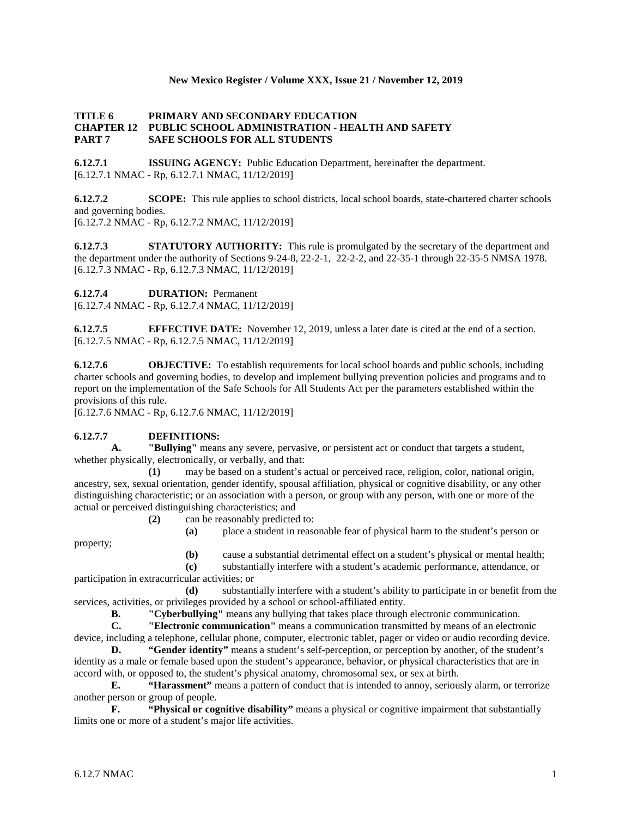### **New Mexico Register / Volume XXX, Issue 21 / November 12, 2019**

### **TITLE 6 PRIMARY AND SECONDARY EDUCATION CHAPTER 12 PUBLIC SCHOOL ADMINISTRATION - HEALTH AND SAFETY PART 7 SAFE SCHOOLS FOR ALL STUDENTS**

**6.12.7.1 ISSUING AGENCY:** Public Education Department, hereinafter the department. [6.12.7.1 NMAC - Rp, 6.12.7.1 NMAC, 11/12/2019]

**6.12.7.2 SCOPE:** This rule applies to school districts, local school boards, state-chartered charter schools and governing bodies.

[6.12.7.2 NMAC - Rp, 6.12.7.2 NMAC, 11/12/2019]

**6.12.7.3 STATUTORY AUTHORITY:** This rule is promulgated by the secretary of the department and the department under the authority of Sections 9-24-8, 22-2-1, 22-2-2, and 22-35-1 through 22-35-5 NMSA 1978. [6.12.7.3 NMAC - Rp, 6.12.7.3 NMAC, 11/12/2019]

**6.12.7.4 DURATION:** Permanent

[6.12.7.4 NMAC - Rp, 6.12.7.4 NMAC, 11/12/2019]

**6.12.7.5 EFFECTIVE DATE:** November 12, 2019, unless a later date is cited at the end of a section. [6.12.7.5 NMAC - Rp, 6.12.7.5 NMAC, 11/12/2019]

**6.12.7.6 OBJECTIVE:** To establish requirements for local school boards and public schools, including charter schools and governing bodies, to develop and implement bullying prevention policies and programs and to report on the implementation of the Safe Schools for All Students Act per the parameters established within the provisions of this rule.

[6.12.7.6 NMAC - Rp, 6.12.7.6 NMAC, 11/12/2019]

# **6.12.7.7 DEFINITIONS:**

**A. "Bullying"** means any severe, pervasive, or persistent act or conduct that targets a student, whether physically, electronically, or verbally, and that:

**(1)** may be based on a student's actual or perceived race, religion, color, national origin, ancestry, sex, sexual orientation, gender identify, spousal affiliation, physical or cognitive disability, or any other distinguishing characteristic; or an association with a person, or group with any person, with one or more of the actual or perceived distinguishing characteristics; and

- **(2)** can be reasonably predicted to:
	- **(a)** place a student in reasonable fear of physical harm to the student's person or

property;

**(b)** cause a substantial detrimental effect on a student's physical or mental health;

**(c)** substantially interfere with a student's academic performance, attendance, or participation in extracurricular activities; or

**(d)** substantially interfere with a student's ability to participate in or benefit from the services, activities, or privileges provided by a school or school-affiliated entity.

**B. "Cyberbullying"** means any bullying that takes place through electronic communication.<br>**C. "Electronic communication"** means a communication transmitted by means of an electronic

**C. "Electronic communication"** means a communication transmitted by means of an electronic device, including a telephone, cellular phone, computer, electronic tablet, pager or video or audio recording device.

**D. "Gender identity"** means a student's self-perception, or perception by another, of the student's identity as a male or female based upon the student's appearance, behavior, or physical characteristics that are in accord with, or opposed to, the student's physical anatomy, chromosomal sex, or sex at birth.

**E. "Harassment"** means a pattern of conduct that is intended to annoy, seriously alarm, or terrorize another person or group of people.

**F. "Physical or cognitive disability"** means a physical or cognitive impairment that substantially limits one or more of a student's major life activities.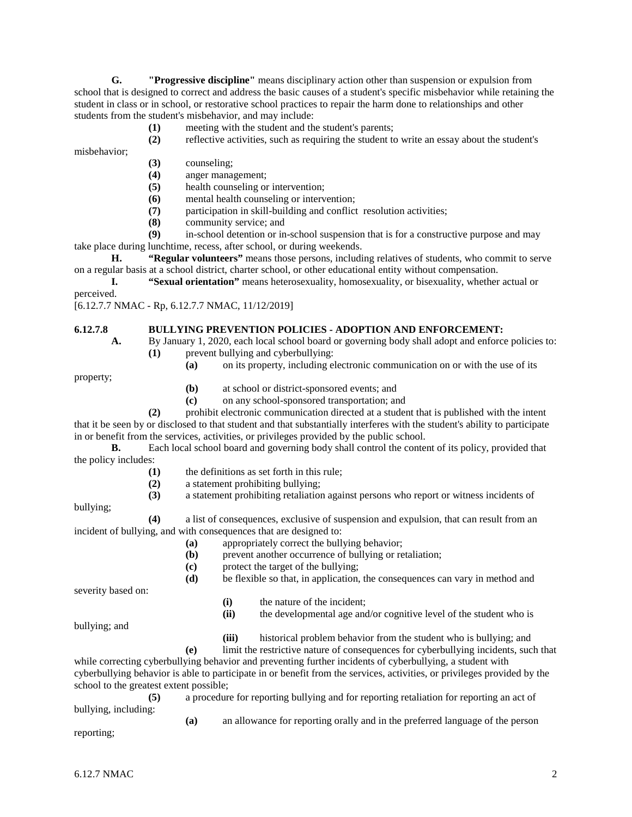**G. "Progressive discipline"** means disciplinary action other than suspension or expulsion from school that is designed to correct and address the basic causes of a student's specific misbehavior while retaining the student in class or in school, or restorative school practices to repair the harm done to relationships and other students from the student's misbehavior, and may include:

- **(1)** meeting with the student and the student's parents;
- **(2)** reflective activities, such as requiring the student to write an essay about the student's

misbehavior;

- **(3)** counseling;
- **(4)** anger management;
- **(5)** health counseling or intervention;
- **(6)** mental health counseling or intervention;
- **(7)** participation in skill-building and conflict resolution activities;
- **(8)** community service; and

**(9)** in-school detention or in-school suspension that is for a constructive purpose and may take place during lunchtime, recess, after school, or during weekends.

**H. "Regular volunteers"** means those persons, including relatives of students, who commit to serve on a regular basis at a school district, charter school, or other educational entity without compensation.

**I. "Sexual orientation"** means heterosexuality, homosexuality, or bisexuality, whether actual or

perceived.

[6.12.7.7 NMAC - Rp, 6.12.7.7 NMAC, 11/12/2019]

# **6.12.7.8 BULLYING PREVENTION POLICIES - ADOPTION AND ENFORCEMENT:**<br>**A.** By January 1, 2020, each local school board or governing body shall adopt and enforce

- **A.** By January 1, 2020, each local school board or governing body shall adopt and enforce policies to: **(1)** prevent bullying and cyberbullying:
	- **(a)** on its property, including electronic communication on or with the use of its

property;

- **(b)** at school or district-sponsored events; and
- **(c)** on any school-sponsored transportation; and

**(2)** prohibit electronic communication directed at a student that is published with the intent that it be seen by or disclosed to that student and that substantially interferes with the student's ability to participate in or benefit from the services, activities, or privileges provided by the public school.

**B.** Each local school board and governing body shall control the content of its policy, provided that the policy includes:

- (1) the definitions as set forth in this rule;<br>(2) a statement prohibiting bullying;
- **(2)** a statement prohibiting bullying;
- **(3)** a statement prohibiting retaliation against persons who report or witness incidents of

bullying;

**(4)** a list of consequences, exclusive of suspension and expulsion, that can result from an incident of bullying, and with consequences that are designed to:

- **(a)** appropriately correct the bullying behavior;
- **(b)** prevent another occurrence of bullying or retaliation;
- **(c)** protect the target of the bullying;
- **(d)** be flexible so that, in application, the consequences can vary in method and

severity based on:

- **(i)** the nature of the incident;
- **(ii)** the developmental age and/or cognitive level of the student who is

bullying; and

**(iii)** historical problem behavior from the student who is bullying; and

**(e)** limit the restrictive nature of consequences for cyberbullying incidents, such that while correcting cyberbullying behavior and preventing further incidents of cyberbullying, a student with cyberbullying behavior is able to participate in or benefit from the services, activities, or privileges provided by the school to the greatest extent possible;

**(5)** a procedure for reporting bullying and for reporting retaliation for reporting an act of bullying, including:

**(a)** an allowance for reporting orally and in the preferred language of the person

reporting;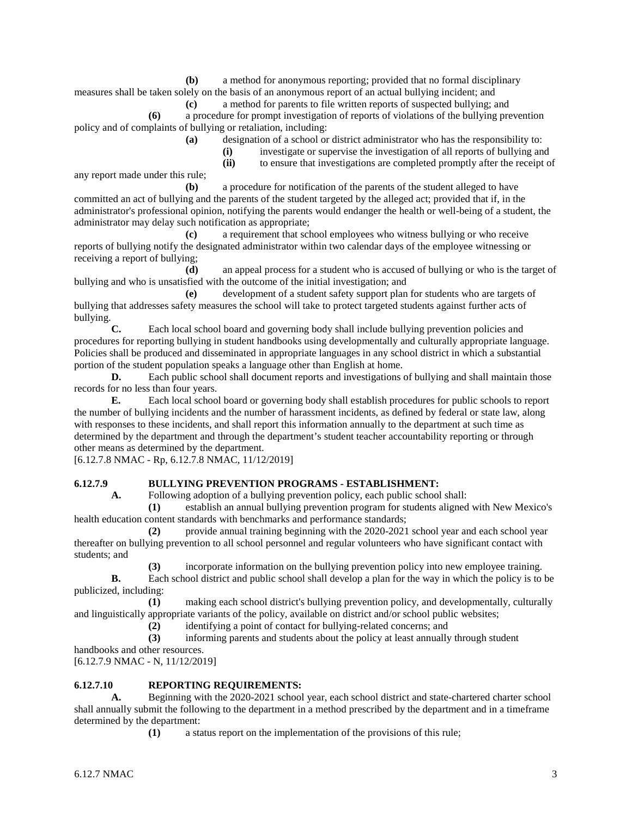**(b)** a method for anonymous reporting; provided that no formal disciplinary measures shall be taken solely on the basis of an anonymous report of an actual bullying incident; and

**(c)** a method for parents to file written reports of suspected bullying; and **(6)** a procedure for prompt investigation of reports of violations of the bullying prevention

policy and of complaints of bullying or retaliation, including:

**(a)** designation of a school or district administrator who has the responsibility to:

- **(i)** investigate or supervise the investigation of all reports of bullying and
- **(ii)** to ensure that investigations are completed promptly after the receipt of

any report made under this rule; **(b)** a procedure for notification of the parents of the student alleged to have committed an act of bullying and the parents of the student targeted by the alleged act; provided that if, in the

administrator's professional opinion, notifying the parents would endanger the health or well-being of a student, the administrator may delay such notification as appropriate;

**(c)** a requirement that school employees who witness bullying or who receive reports of bullying notify the designated administrator within two calendar days of the employee witnessing or receiving a report of bullying;

**(d)** an appeal process for a student who is accused of bullying or who is the target of bullying and who is unsatisfied with the outcome of the initial investigation; and

**(e)** development of a student safety support plan for students who are targets of bullying that addresses safety measures the school will take to protect targeted students against further acts of bullying.

**C.** Each local school board and governing body shall include bullying prevention policies and procedures for reporting bullying in student handbooks using developmentally and culturally appropriate language. Policies shall be produced and disseminated in appropriate languages in any school district in which a substantial portion of the student population speaks a language other than English at home.

**D.** Each public school shall document reports and investigations of bullying and shall maintain those records for no less than four years.

**E.** Each local school board or governing body shall establish procedures for public schools to report the number of bullying incidents and the number of harassment incidents, as defined by federal or state law, along with responses to these incidents, and shall report this information annually to the department at such time as determined by the department and through the department's student teacher accountability reporting or through other means as determined by the department.

[6.12.7.8 NMAC - Rp, 6.12.7.8 NMAC, 11/12/2019]

# **6.12.7.9 BULLYING PREVENTION PROGRAMS - ESTABLISHMENT:**

**A.** Following adoption of a bullying prevention policy, each public school shall:

**(1)** establish an annual bullying prevention program for students aligned with New Mexico's health education content standards with benchmarks and performance standards;

**(2)** provide annual training beginning with the 2020-2021 school year and each school year thereafter on bullying prevention to all school personnel and regular volunteers who have significant contact with students; and

**(3)** incorporate information on the bullying prevention policy into new employee training.

**B.** Each school district and public school shall develop a plan for the way in which the policy is to be publicized, including:

**(1)** making each school district's bullying prevention policy, and developmentally, culturally and linguistically appropriate variants of the policy, available on district and/or school public websites;

**(2)** identifying a point of contact for bullying-related concerns; and

**(3)** informing parents and students about the policy at least annually through student handbooks and other resources.

[6.12.7.9 NMAC - N, 11/12/2019]

# **6.12.7.10 REPORTING REQUIREMENTS:**

**A.** Beginning with the 2020-2021 school year, each school district and state-chartered charter school shall annually submit the following to the department in a method prescribed by the department and in a timeframe determined by the department:

**(1)** a status report on the implementation of the provisions of this rule;